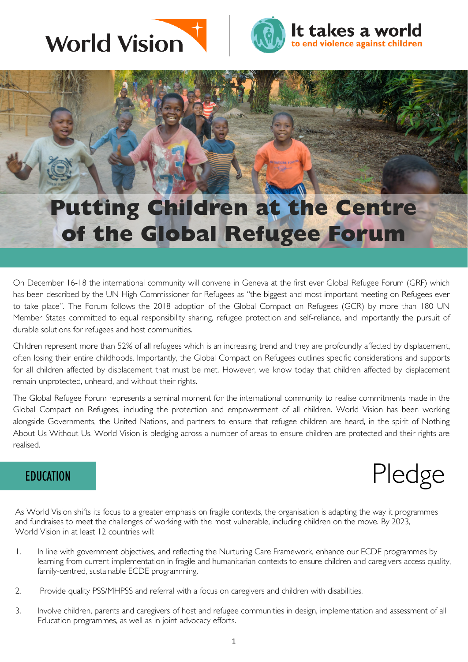



## **Putting Children at the Centre of the Global Refugee Forum**

On December 16-18 the international community will convene in Geneva at the first ever Global Refugee Forum (GRF) which has been described by the UN High Commissioner for Refugees as "the biggest and most important meeting on Refugees ever to take place". The Forum follows the 2018 adoption of the Global Compact on Refugees (GCR) by more than 180 UN Member States committed to equal responsibility sharing, refugee protection and self-reliance, and importantly the pursuit of durable solutions for refugees and host communities.

Children represent more than 52% of all refugees which is an increasing trend and they are profoundly affected by displacement, often losing their entire childhoods. Importantly, the Global Compact on Refugees outlines specific considerations and supports for all children affected by displacement that must be met. However, we know today that children affected by displacement remain unprotected, unheard, and without their rights.

The Global Refugee Forum represents a seminal moment for the international community to realise commitments made in the Global Compact on Refugees, including the protection and empowerment of all children. World Vision has been working alongside Governments, the United Nations, and partners to ensure that refugee children are heard, in the spirit of Nothing About Us Without Us. World Vision is pledging across a number of areas to ensure children are protected and their rights are realised.



As World Vision shifts its focus to a greater emphasis on fragile contexts, the organisation is adapting the way it programmes and fundraises to meet the challenges of working with the most vulnerable, including children on the move. By 2023, World Vision in at least 12 countries will:

- 1. In line with government objectives, and reflecting the Nurturing Care Framework, enhance our ECDE programmes by learning from current implementation in fragile and humanitarian contexts to ensure children and caregivers access quality, family-centred, sustainable ECDE programming.
- 2. Provide quality PSS/MHPSS and referral with a focus on caregivers and children with disabilities.
- 3. Involve children, parents and caregivers of host and refugee communities in design, implementation and assessment of all Education programmes, as well as in joint advocacy efforts.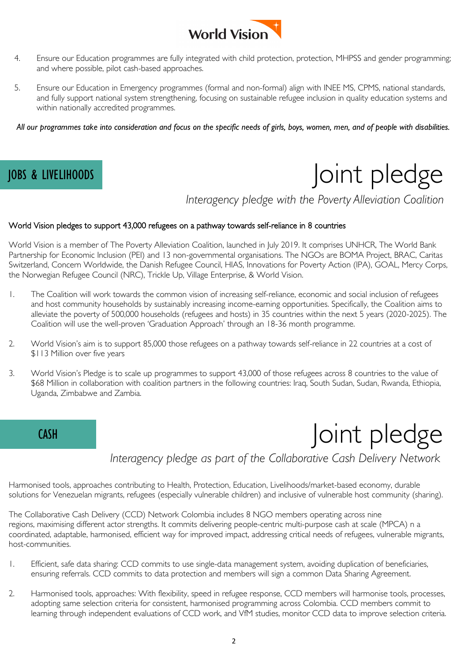

- 4. Ensure our Education programmes are fully integrated with child protection, protection, MHPSS and gender programming; and where possible, pilot cash-based approaches.
- imes (formal and non-formal) align with INEE MS, CPMS, national standards,<br>ng, focusing on sustainable refugee inclusion in quality education systems and 5. Ensure our Education in Emergency programmes (formal and non-formal) align with INEE MS, CPMS, national standards, and fully support national system strengthening, focusing on sustainable refugee inclusion in quality education systems and within nationally accredited programmes.

*All our programmes take into consideration and focus on the specific needs of girls, boys, women, men, and of people with disabilities.*

# JOBS & LIVELIHOODS | OINT pledge

*Interagency pledge with the Poverty Alleviation Coalition*

#### World Vision pledges to support 43,000 refugees on a pathway towards self-reliance in 8 countries

World Vision is a member of The Poverty Alleviation Coalition, launched in July 2019. It comprises UNHCR, The World Bank Partnership for Economic Inclusion (PEI) and 13 non-governmental organisations. The NGOs are BOMA Project, BRAC, Caritas Switzerland, Concern Worldwide, the Danish Refugee Council, HIAS, Innovations for Poverty Action (IPA), GOAL, Mercy Corps, the Norwegian Refugee Council (NRC), Trickle Up, Village Enterprise, & World Vision.

- 1. The Coalition will work towards the common vision of increasing self-reliance, economic and social inclusion of refugees and host community households by sustainably increasing income-earning opportunities. Specifically, the Coalition aims to alleviate the poverty of 500,000 households (refugees and hosts) in 35 countries within the next 5 years (2020-2025). The Coalition will use the well-proven 'Graduation Approach' through an 18-36 month programme.
- 2. World Vision's aim is to support 85,000 those refugees on a pathway towards self-reliance in 22 countries at a cost of \$113 Million over five years
- 3. World Vision's Pledge is to scale up programmes to support 43,000 of those refugees across 8 countries to the value of \$68 Million in collaboration with coalition partners in the following countries: Iraq, South Sudan, Sudan, Rwanda, Ethiopia, Uganda, Zimbabwe and Zambia.



*Interagency pledge as part of the Collaborative Cash Delivery Network* 

Harmonised tools, approaches contributing to Health, Protection, Education, Livelihoods/market-based economy, durable solutions for Venezuelan migrants, refugees (especially vulnerable children) and inclusive of vulnerable host community (sharing).

The Collaborative Cash Delivery (CCD) Network Colombia includes 8 NGO members operating across nine regions, maximising different actor strengths. It commits delivering people-centric multi-purpose cash at scale (MPCA) n a coordinated, adaptable, harmonised, efficient way for improved impact, addressing critical needs of refugees, vulnerable migrants, host-communities.

- 1. Efficient, safe data sharing: CCD commits to use single-data management system, avoiding duplication of beneficiaries, ensuring referrals. CCD commits to data protection and members will sign a common Data Sharing Agreement.
- 2. Harmonised tools, approaches: With flexibility, speed in refugee response, CCD members will harmonise tools, processes, adopting same selection criteria for consistent, harmonised programming across Colombia. CCD members commit to learning through independent evaluations of CCD work, and VfM studies, monitor CCD data to improve selection criteria.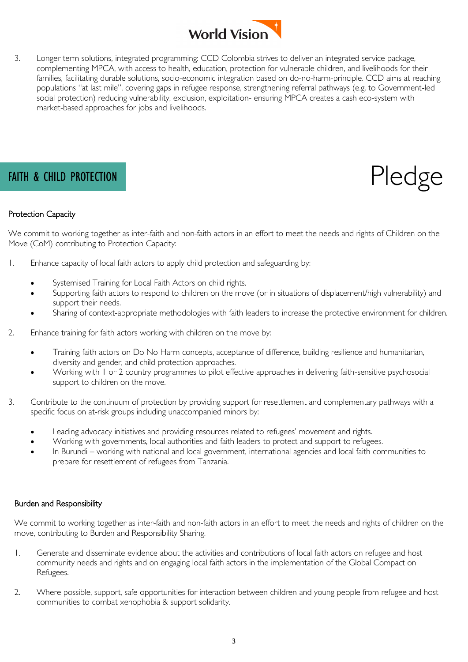

rtugee response, strengtnening reterral pathways (e.g. to Government-led<br>usion, exploitation- ensuring MPCA creates a cash eco-system with<br>oods 3. Longer term solutions, integrated programming: CCD Colombia strives to deliver an integrated service package, complementing MPCA, with access to health, education, protection for vulnerable children, and livelihoods for their families, facilitating durable solutions, socio-economic integration based on do-no-harm-principle. CCD aims at reaching populations "at last mile", covering gaps in refugee response, strengthening referral pathways (e.g. to Government-led social protection) reducing vulnerability, exclusion, exploitation- ensuring MPCA creates a cash eco-system with market-based approaches for jobs and livelihoods.



### Protection Capacity

We commit to working together as inter-faith and non-faith actors in an effort to meet the needs and rights of Children on the Move (CoM) contributing to Protection Capacity:

- 1. Enhance capacity of local faith actors to apply child protection and safeguarding by:
	- Systemised Training for Local Faith Actors on child rights.
	- Supporting faith actors to respond to children on the move (or in situations of displacement/high vulnerability) and support their needs.
	- Sharing of context-appropriate methodologies with faith leaders to increase the protective environment for children.
- 2. Enhance training for faith actors working with children on the move by:
	- Training faith actors on Do No Harm concepts, acceptance of difference, building resilience and humanitarian, diversity and gender, and child protection approaches.
	- Working with 1 or 2 country programmes to pilot effective approaches in delivering faith-sensitive psychosocial support to children on the move.
- 3. Contribute to the continuum of protection by providing support for resettlement and complementary pathways with a specific focus on at-risk groups including unaccompanied minors by:
	- Leading advocacy initiatives and providing resources related to refugees' movement and rights.
	- Working with governments, local authorities and faith leaders to protect and support to refugees.
	- In Burundi working with national and local government, international agencies and local faith communities to prepare for resettlement of refugees from Tanzania.

#### Burden and Responsibility

We commit to working together as inter-faith and non-faith actors in an effort to meet the needs and rights of children on the move, contributing to Burden and Responsibility Sharing.

- 1. Generate and disseminate evidence about the activities and contributions of local faith actors on refugee and host community needs and rights and on engaging local faith actors in the implementation of the Global Compact on Refugees.
- 2. Where possible, support, safe opportunities for interaction between children and young people from refugee and host communities to combat xenophobia & support solidarity.